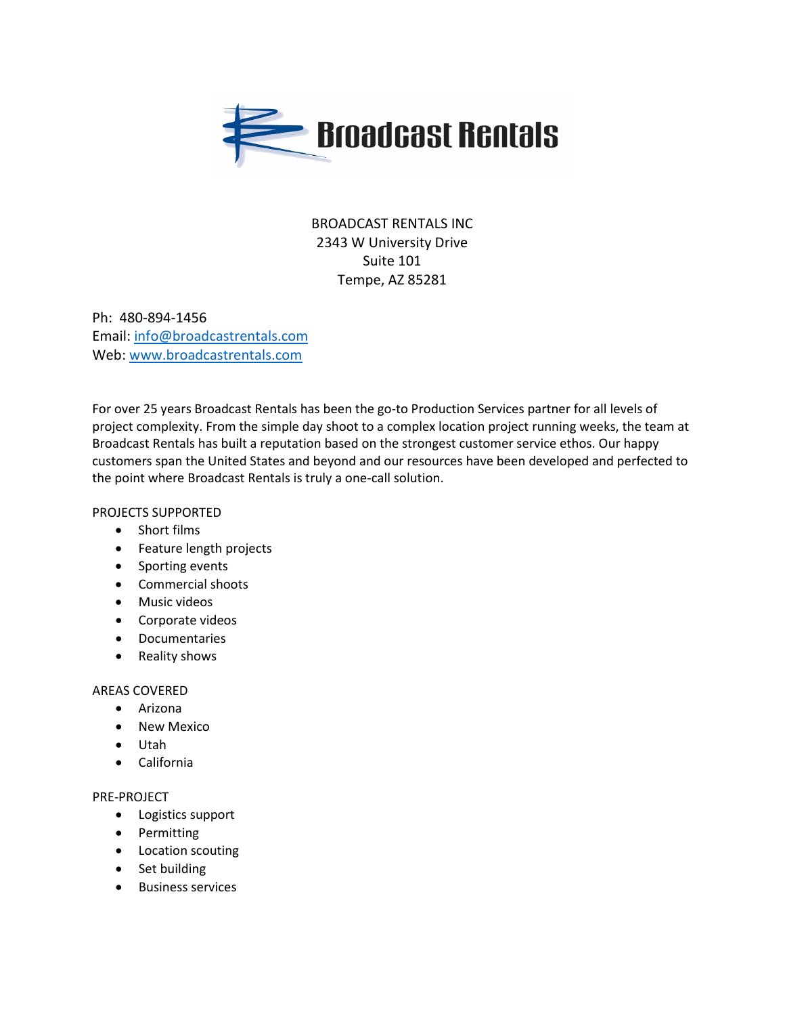

# BROADCAST RENTALS INC 2343 W University Drive Suite 101 Tempe, AZ 85281

Ph: 480-894-1456 Email: [info@broadcastrentals.com](mailto:info@broadcastrentals.com) Web: [www.broadcastrentals.com](http://www.broadcastrentals.com/)

For over 25 years Broadcast Rentals has been the go-to Production Services partner for all levels of project complexity. From the simple day shoot to a complex location project running weeks, the team at Broadcast Rentals has built a reputation based on the strongest customer service ethos. Our happy customers span the United States and beyond and our resources have been developed and perfected to the point where Broadcast Rentals is truly a one-call solution.

PROJECTS SUPPORTED

- Short films
- Feature length projects
- Sporting events
- Commercial shoots
- Music videos
- Corporate videos
- Documentaries
- Reality shows

# AREAS COVERED

- Arizona
- New Mexico
- Utah
- California

# PRE-PROJECT

- Logistics support
- Permitting
- Location scouting
- Set building
- Business services